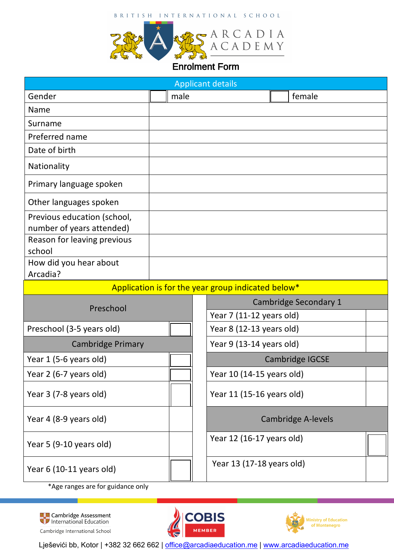## BRITISH INTERNATIONAL SCHOOL



## Enrolment Form

| <b>Applicant details</b>                                 |      |  |                              |                           |  |  |  |
|----------------------------------------------------------|------|--|------------------------------|---------------------------|--|--|--|
| Gender                                                   | male |  |                              | female                    |  |  |  |
| Name                                                     |      |  |                              |                           |  |  |  |
| Surname                                                  |      |  |                              |                           |  |  |  |
| Preferred name                                           |      |  |                              |                           |  |  |  |
| Date of birth                                            |      |  |                              |                           |  |  |  |
| Nationality                                              |      |  |                              |                           |  |  |  |
| Primary language spoken                                  |      |  |                              |                           |  |  |  |
| Other languages spoken                                   |      |  |                              |                           |  |  |  |
| Previous education (school,<br>number of years attended) |      |  |                              |                           |  |  |  |
| Reason for leaving previous<br>school                    |      |  |                              |                           |  |  |  |
| How did you hear about                                   |      |  |                              |                           |  |  |  |
| Arcadia?                                                 |      |  |                              |                           |  |  |  |
| Application is for the year group indicated below*       |      |  |                              |                           |  |  |  |
| Preschool                                                |      |  | <b>Cambridge Secondary 1</b> |                           |  |  |  |
|                                                          |      |  | Year 7 (11-12 years old)     |                           |  |  |  |
| Preschool (3-5 years old)                                |      |  | Year 8 (12-13 years old)     |                           |  |  |  |
| <b>Cambridge Primary</b>                                 |      |  | Year 9 (13-14 years old)     |                           |  |  |  |
| Year 1 (5-6 years old)                                   |      |  |                              | Cambridge IGCSE           |  |  |  |
| Year 2 (6-7 years old)                                   |      |  | Year 10 (14-15 years old)    |                           |  |  |  |
| Year 3 (7-8 years old)                                   |      |  | Year 11 (15-16 years old)    |                           |  |  |  |
| Year 4 (8-9 years old)                                   |      |  |                              | <b>Cambridge A-levels</b> |  |  |  |
| Year 5 (9-10 years old)                                  |      |  | Year 12 (16-17 years old)    |                           |  |  |  |
| Year 6 (10-11 years old)                                 |      |  | Year 13 (17-18 years old)    |                           |  |  |  |

\*Age ranges are for guidance only







Lješevići bb, Kotor | +382 32 662 662 | office@arcadiaeducation.me | www.arcadiaeducation.me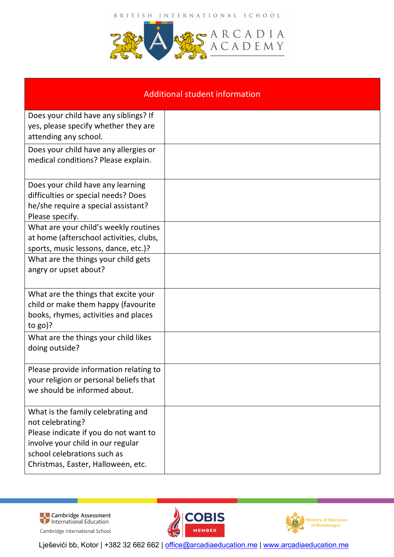BRITISH INTERNATIONAL SCHOOL



| <b>Additional student information</b>                                                                                                                                                                     |  |  |  |  |
|-----------------------------------------------------------------------------------------------------------------------------------------------------------------------------------------------------------|--|--|--|--|
| Does your child have any siblings? If<br>yes, please specify whether they are<br>attending any school.                                                                                                    |  |  |  |  |
| Does your child have any allergies or<br>medical conditions? Please explain.                                                                                                                              |  |  |  |  |
| Does your child have any learning<br>difficulties or special needs? Does<br>he/she require a special assistant?<br>Please specify.                                                                        |  |  |  |  |
| What are your child's weekly routines<br>at home (afterschool activities, clubs,<br>sports, music lessons, dance, etc.)?                                                                                  |  |  |  |  |
| What are the things your child gets<br>angry or upset about?                                                                                                                                              |  |  |  |  |
| What are the things that excite your<br>child or make them happy (favourite<br>books, rhymes, activities and places<br>to $go$ ?                                                                          |  |  |  |  |
| What are the things your child likes<br>doing outside?                                                                                                                                                    |  |  |  |  |
| Please provide information relating to<br>your religion or personal beliefs that<br>we should be informed about.                                                                                          |  |  |  |  |
| What is the family celebrating and<br>not celebrating?<br>Please indicate if you do not want to<br>involve your child in our regular<br>school celebrations such as<br>Christmas, Easter, Halloween, etc. |  |  |  |  |

**Esta** Cambridge Assessment<br>Wilhernational Education Cambridge International School





Lješevići bb, Kotor | +382 32 662 662 | office@arcadiaeducation.me | www.arcadiaeducation.me